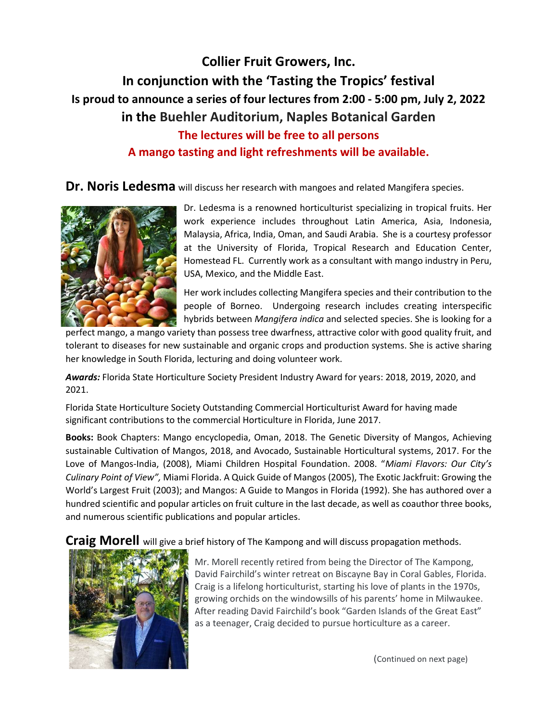# Collier Fruit Growers, Inc. In conjunction with the 'Tasting the Tropics' festival Is proud to announce a series of four lectures from 2:00 - 5:00 pm, July 2, 2022 in the Buehler Auditorium, Naples Botanical Garden The lectures will be free to all persons A mango tasting and light refreshments will be available.

Dr. Noris Ledesma will discuss her research with mangoes and related Mangifera species.



Dr. Ledesma is a renowned horticulturist specializing in tropical fruits. Her work experience includes throughout Latin America, Asia, Indonesia, Malaysia, Africa, India, Oman, and Saudi Arabia. She is a courtesy professor at the University of Florida, Tropical Research and Education Center, Homestead FL. Currently work as a consultant with mango industry in Peru, USA, Mexico, and the Middle East.

Her work includes collecting Mangifera species and their contribution to the people of Borneo. Undergoing research includes creating interspecific hybrids between Mangifera indica and selected species. She is looking for a

perfect mango, a mango variety than possess tree dwarfness, attractive color with good quality fruit, and tolerant to diseases for new sustainable and organic crops and production systems. She is active sharing her knowledge in South Florida, lecturing and doing volunteer work.

Awards: Florida State Horticulture Society President Industry Award for years: 2018, 2019, 2020, and 2021.

Florida State Horticulture Society Outstanding Commercial Horticulturist Award for having made significant contributions to the commercial Horticulture in Florida, June 2017.

Books: Book Chapters: Mango encyclopedia, Oman, 2018. The Genetic Diversity of Mangos, Achieving sustainable Cultivation of Mangos, 2018, and Avocado, Sustainable Horticultural systems, 2017. For the Love of Mangos-India, (2008), Miami Children Hospital Foundation. 2008. "Miami Flavors: Our City's Culinary Point of View", Miami Florida. A Quick Guide of Mangos (2005), The Exotic Jackfruit: Growing the World's Largest Fruit (2003); and Mangos: A Guide to Mangos in Florida (1992). She has authored over a hundred scientific and popular articles on fruit culture in the last decade, as well as coauthor three books, and numerous scientific publications and popular articles.

**Craig Morell** will give a brief history of The Kampong and will discuss propagation methods.



Mr. Morell recently retired from being the Director of The Kampong, David Fairchild's winter retreat on Biscayne Bay in Coral Gables, Florida. Craig is a lifelong horticulturist, starting his love of plants in the 1970s, growing orchids on the windowsills of his parents' home in Milwaukee. After reading David Fairchild's book "Garden Islands of the Great East" as a teenager, Craig decided to pursue horticulture as a career.

(Continued on next page)